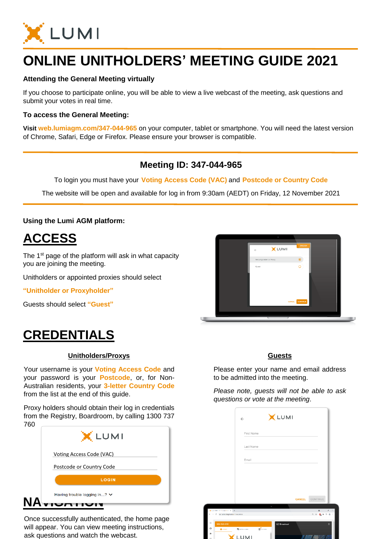

# **ONLINE UNITHOLDERS' MEETING GUIDE 2021**

### **Attending the General Meeting virtually**

If you choose to participate online, you will be able to view a live webcast of the meeting, ask questions and submit your votes in real time.

### **To access the General Meeting:**

**Visit web.lumiagm.com/347-044-965** on your computer, tablet or smartphone. You will need the latest version of Chrome, Safari, Edge or Firefox. Please ensure your browser is compatible.

### **Meeting ID: 347-044-965**

To login you must have your **Voting Access Code (VAC)** and **Postcode or Country Code**

The website will be open and available for log in from 9:30am (AEDT) on Friday, 12 November 2021

### **Using the Lumi AGM platform:**

## **ACCESS**

The 1<sup>st</sup> page of the platform will ask in what capacity you are joining the meeting.

Unitholders or appointed proxies should select

**"Unitholder or Proxyholder"**

Guests should select **"Guest"**

# **CREDENTIALS**

#### **Unitholders/Proxys**

Your username is your **Voting Access Code** and your password is your **Postcode**, or, for Non-Australian residents, your **3-letter Country Code** from the list at the end of this guide.

Proxy holders should obtain their log in credentials from the Registry, Boardroom, by calling 1300 737 760

| 7 OU | XLUMI                             |
|------|-----------------------------------|
|      | Voting Access Code (VAC)          |
|      | Postcode or Country Code          |
|      | <b>LOGIN</b>                      |
| N    | Having trouble logging in? $\vee$ |

Once successfully authenticated, the home page will appear. You can view meeting instructions, ask questions and watch the webcast.



#### **Guests**

Please enter your name and email address to be admitted into the meeting.

*Please note, guests will not be able to ask questions or vote at the meeting*.

|            |                                              | $\leftarrow$       |                 | XLUMI              |               |                     |          |
|------------|----------------------------------------------|--------------------|-----------------|--------------------|---------------|---------------------|----------|
|            |                                              | First Name         |                 |                    |               |                     |          |
|            |                                              | Last Name          |                 |                    |               |                     |          |
|            |                                              | Email              |                 |                    |               |                     |          |
|            |                                              |                    |                 |                    |               |                     |          |
|            |                                              |                    |                 |                    |               |                     |          |
|            |                                              |                    |                 |                    | <b>CANCEL</b> | CONTINUE            |          |
|            |                                              |                    |                 | <b>Service</b>     |               |                     |          |
|            | X LeiASM-SSE-Corporation & H                 |                    |                 |                    |               | $\ddot{\mathbf{O}}$ | $x = x$  |
| $\epsilon$ | # web lampers com html/292255023<br>$\alpha$ |                    |                 |                    |               | 日 立 職 井 平 生 1       |          |
| $\equiv$   | 964-920-933                                  |                    |                 | <b>S</b> Broadcast |               |                     | $\alpha$ |
| $\Theta$   | <b>A</b> HOME                                | <b>■ unssequed</b> | <b>B</b> varied |                    |               |                     |          |
| P.<br>CD.  |                                              | <b>LUMI</b>        |                 |                    |               |                     |          |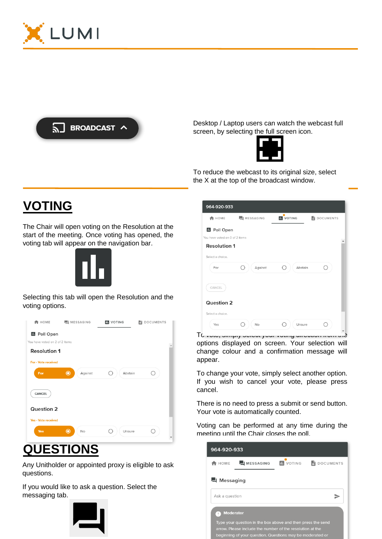



Desktop / Laptop users can watch the webcast full screen, by selecting the full screen icon.



To reduce the webcast to its original size, select the X at the top of the broadcast window.

# **VOTING**

The Chair will open voting on the Resolution at the start of the meeting. Once voting has opened, the voting tab will appear on the navigation bar.



Selecting this tab will open the Resolution and the voting options.



# **QUESTIONS**

Any Unitholder or appointed proxy is eligible to ask questions.

If you would like to ask a question. Select the messaging tab.



| 964-920-933                    |                    |                  |                |
|--------------------------------|--------------------|------------------|----------------|
| <b>A</b> HOME                  | <b>H</b> MESSAGING | <b>IL</b> VOTING | DOCUMENTS<br>自 |
| <b>II</b> Poll Open            |                    |                  |                |
| You have voted on 0 of 2 items |                    |                  |                |
| <b>Resolution 1</b>            |                    |                  |                |
| Select a choice.               |                    |                  |                |
| For                            | Against            | Abstain<br>O     |                |
| CANCEL                         |                    |                  |                |
| <b>Question 2</b>              |                    |                  |                |
| Select a choice.               |                    |                  |                |
| Yes                            | No                 | Unsure<br>×      |                |

To vote, simply select your voting direction from the options displayed on screen. Your selection will change colour and a confirmation message will appear.

To change your vote, simply select another option. If you wish to cancel your vote, please press cancel.

There is no need to press a submit or send button. Your vote is automatically counted.

Voting can be performed at any time during the meeting until the Chair closes the poll.

| 964-920-933           |                                                                                                                                                                                       |                  |                  |
|-----------------------|---------------------------------------------------------------------------------------------------------------------------------------------------------------------------------------|------------------|------------------|
| HOME                  | MESSAGING                                                                                                                                                                             | <b>IL</b> VOTING | <b>DOCUMENTS</b> |
| □ Messaging           |                                                                                                                                                                                       |                  |                  |
| Ask a question        |                                                                                                                                                                                       |                  |                  |
| <b>Moderator</b><br>÷ | Type your question in the box above and then press the send<br>arrow. Please include the number of the resolution at the<br>beginning of your question. Questions may be moderated or |                  |                  |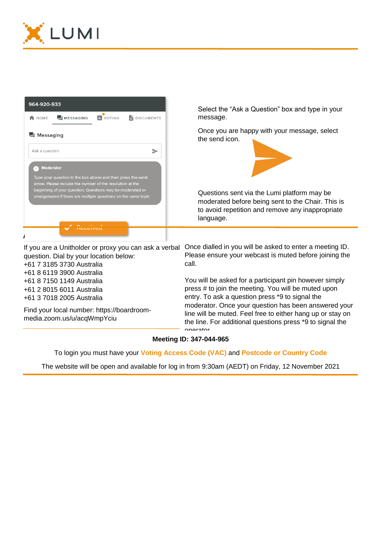



+61 7 3185 3730 Australia +61 8 6119 3900 Australia +61 8 7150 1149 Australia +61 2 8015 6011 Australia +61 3 7018 2005 Australia

Find your local number: https://boardroommedia.zoom.us/u/acqWmpYciu

call.

You will be asked for a participant pin however simply press # to join the meeting. You will be muted upon entry. To ask a question press \*9 to signal the moderator. Once your question has been answered your line will be muted. Feel free to either hang up or stay on the line. For additional questions press \*9 to signal the operator.

### **Meeting ID: 347-044-965**

To login you must have your **Voting Access Code (VAC)** and **Postcode or Country Code**

The website will be open and available for log in from 9:30am (AEDT) on Friday, 12 November 2021